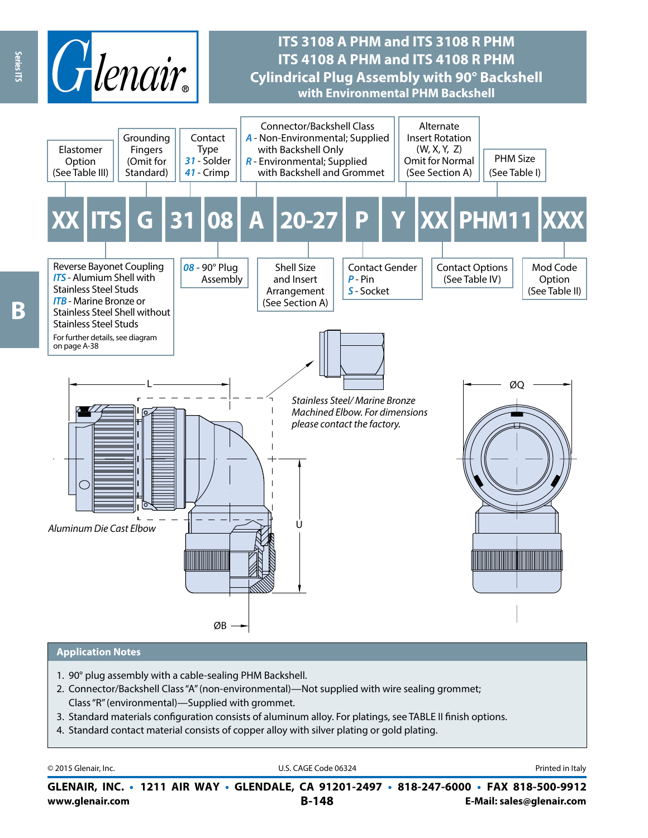

# **ITS 3108 A PHM and ITS 3108 R PHM ITS 4108 A PHM and ITS 4108 R PHM Cylindrical Plug Assembly with 90° Backshell with Environmental PHM Backshell**



#### **Application Notes**

- 1. 90° plug assembly with a cable-sealing PHM Backshell.
- 2. Connector/Backshell Class "A" (non-environmental)—Not supplied with wire sealing grommet; Class "R" (environmental)—Supplied with grommet.
- 3. Standard materials configuration consists of aluminum alloy. For platings, see TABLE II finish options.
- 4. Standard contact material consists of copper alloy with silver plating or gold plating.

| © 2015 Glenair, Inc. | U.S. CAGE Code 06324                                                                  | Printed in Italy |
|----------------------|---------------------------------------------------------------------------------------|------------------|
|                      | GLENAIR INC • 1211 AIR WAY • GLENDALE CA 91201-2497 • 818-247-6000 • FAX 818-500-9912 |                  |

**www.glenair.com B-148 E-Mail: sales@glenair.com GLENAIR, INC. • 1211 AIR WAY • GLENDALE, CA 91201-2497 • 818-247-6000 • FAX 818-500-9912**

Series ITS